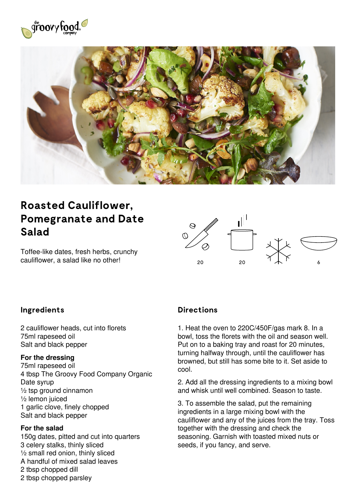



# **Roasted Cauliflower, Pomegranate and Date Salad**

Toffee-like dates, fresh herbs, crunchy cauliflower, a salad like no other!  $20$ 



## **Ingredients**

2 cauliflower heads, cut into florets 75ml rapeseed oil Salt and black pepper

#### **For the dressing**

75ml rapeseed oil 4 tbsp The Groovy Food Company Organic Date syrup ½ tsp ground cinnamon ½ lemon juiced 1 garlic clove, finely chopped Salt and black pepper

#### **For the salad**

150g dates, pitted and cut into quarters 3 celery stalks, thinly sliced ½ small red onion, thinly sliced A handful of mixed salad leaves 2 tbsp chopped dill 2 tbsp chopped parsley

### **Directions**

1. Heat the oven to 220C/450F/gas mark 8. In a bowl, toss the florets with the oil and season well. Put on to a baking tray and roast for 20 minutes, turning halfway through, until the cauliflower has browned, but still has some bite to it. Set aside to cool.

2. Add all the dressing ingredients to a mixing bowl and whisk until well combined. Season to taste.

3. To assemble the salad, put the remaining ingredients in a large mixing bowl with the cauliflower and any of the juices from the tray. Toss together with the dressing and check the seasoning. Garnish with toasted mixed nuts or seeds, if you fancy, and serve.